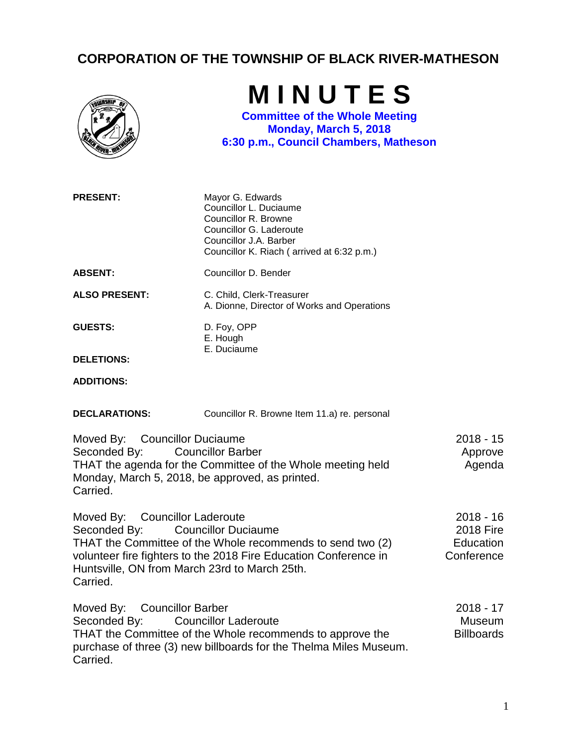## **CORPORATION OF THE TOWNSHIP OF BLACK RIVER-MATHESON**

|                                                                                                                                                                                                                                                                             | MINUTES<br><b>Committee of the Whole Meeting</b><br>Monday, March 5, 2018<br>6:30 p.m., Council Chambers, Matheson                                                    |                                                            |
|-----------------------------------------------------------------------------------------------------------------------------------------------------------------------------------------------------------------------------------------------------------------------------|-----------------------------------------------------------------------------------------------------------------------------------------------------------------------|------------------------------------------------------------|
| <b>PRESENT:</b>                                                                                                                                                                                                                                                             | Mayor G. Edwards<br>Councillor L. Duciaume<br>Councillor R. Browne<br>Councillor G. Laderoute<br>Councillor J.A. Barber<br>Councillor K. Riach (arrived at 6:32 p.m.) |                                                            |
| <b>ABSENT:</b>                                                                                                                                                                                                                                                              | Councillor D. Bender                                                                                                                                                  |                                                            |
| <b>ALSO PRESENT:</b>                                                                                                                                                                                                                                                        | C. Child, Clerk-Treasurer<br>A. Dionne, Director of Works and Operations                                                                                              |                                                            |
| <b>GUESTS:</b>                                                                                                                                                                                                                                                              | D. Foy, OPP<br>E. Hough                                                                                                                                               |                                                            |
| <b>DELETIONS:</b>                                                                                                                                                                                                                                                           | E. Duciaume                                                                                                                                                           |                                                            |
| <b>ADDITIONS:</b>                                                                                                                                                                                                                                                           |                                                                                                                                                                       |                                                            |
| <b>DECLARATIONS:</b>                                                                                                                                                                                                                                                        | Councillor R. Browne Item 11.a) re. personal                                                                                                                          |                                                            |
| Moved By: Councillor Duciaume<br>Seconded By:<br><b>Councillor Barber</b><br>THAT the agenda for the Committee of the Whole meeting held<br>Monday, March 5, 2018, be approved, as printed.<br>Carried.                                                                     |                                                                                                                                                                       | $2018 - 15$<br>Approve<br>Agenda                           |
| Moved By: Councillor Laderoute<br>Seconded By:<br><b>Councillor Duciaume</b><br>THAT the Committee of the Whole recommends to send two (2)<br>volunteer fire fighters to the 2018 Fire Education Conference in<br>Huntsville, ON from March 23rd to March 25th.<br>Carried. |                                                                                                                                                                       | $2018 - 16$<br><b>2018 Fire</b><br>Education<br>Conference |
| Moved By:<br><b>Councillor Barber</b><br><b>Councillor Laderoute</b><br>Seconded By:<br>THAT the Committee of the Whole recommends to approve the<br>purchase of three (3) new billboards for the Thelma Miles Museum.<br>Carried.                                          |                                                                                                                                                                       | $2018 - 17$<br>Museum<br><b>Billboards</b>                 |